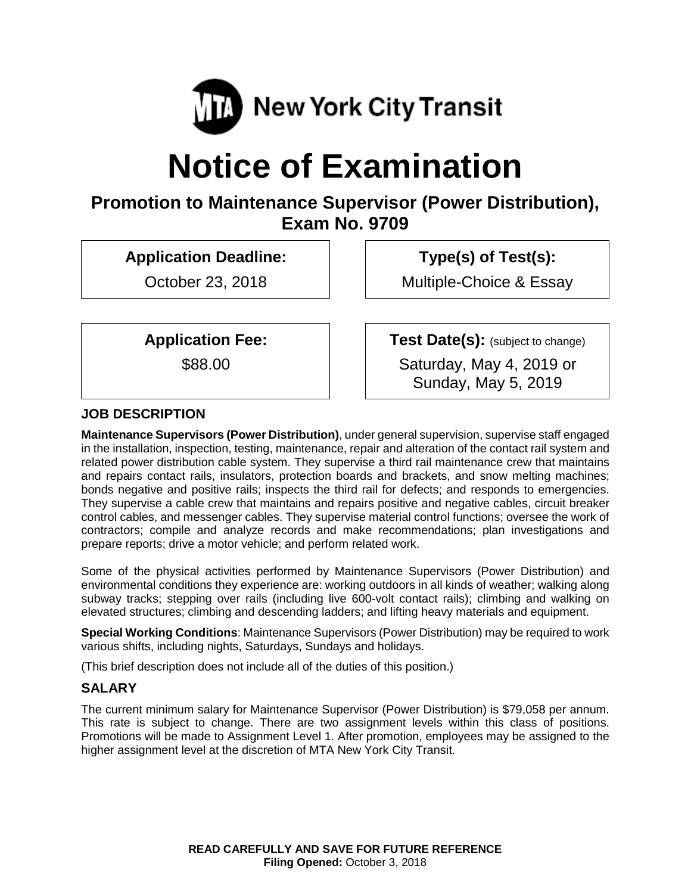

# **Notice of Examination**

# **Promotion to Maintenance Supervisor (Power Distribution), Exam No. 9709**

**Application Deadline:**

October 23, 2018

**Type(s) of Test(s):** 

Multiple-Choice & Essay

**Application Fee:**

\$88.00

**Test Date(s):** (subject to change) Saturday, May 4, 2019 or

Sunday, May 5, 2019

# **JOB DESCRIPTION**

**Maintenance Supervisors (Power Distribution)**, under general supervision, supervise staff engaged in the installation, inspection, testing, maintenance, repair and alteration of the contact rail system and related power distribution cable system. They supervise a third rail maintenance crew that maintains and repairs contact rails, insulators, protection boards and brackets, and snow melting machines; bonds negative and positive rails; inspects the third rail for defects; and responds to emergencies. They supervise a cable crew that maintains and repairs positive and negative cables, circuit breaker control cables, and messenger cables. They supervise material control functions; oversee the work of contractors; compile and analyze records and make recommendations; plan investigations and prepare reports; drive a motor vehicle; and perform related work.

Some of the physical activities performed by Maintenance Supervisors (Power Distribution) and environmental conditions they experience are: working outdoors in all kinds of weather; walking along subway tracks; stepping over rails (including live 600-volt contact rails); climbing and walking on elevated structures; climbing and descending ladders; and lifting heavy materials and equipment.

**Special Working Conditions**: Maintenance Supervisors (Power Distribution) may be required to work various shifts, including nights, Saturdays, Sundays and holidays.

(This brief description does not include all of the duties of this position.)

# **SALARY**

The current minimum salary for Maintenance Supervisor (Power Distribution) is \$79,058 per annum. This rate is subject to change. There are two assignment levels within this class of positions. Promotions will be made to Assignment Level 1. After promotion, employees may be assigned to the higher assignment level at the discretion of MTA New York City Transit.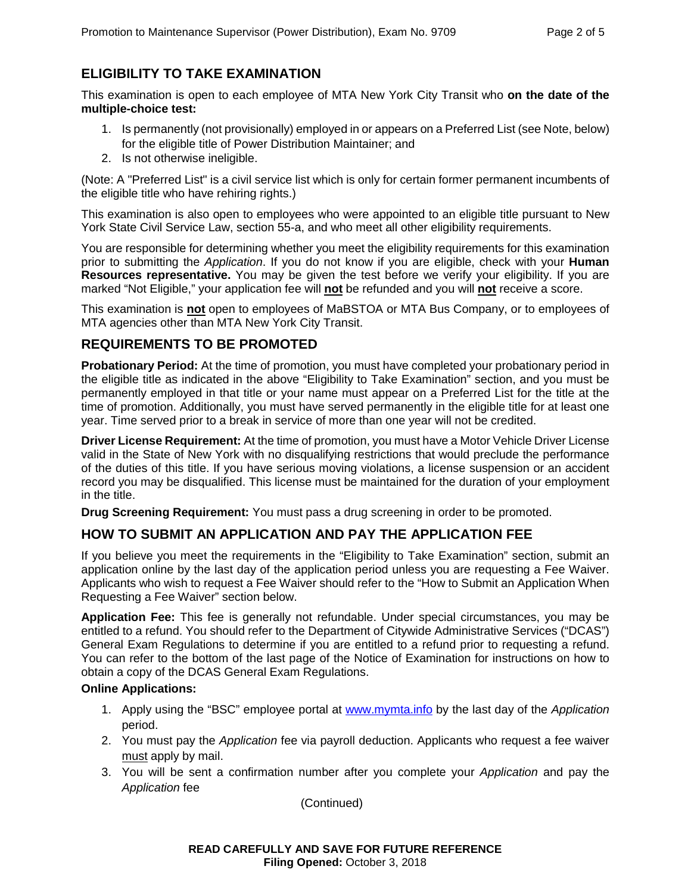# **ELIGIBILITY TO TAKE EXAMINATION**

This examination is open to each employee of MTA New York City Transit who **on the date of the multiple-choice test:**

- 1. Is permanently (not provisionally) employed in or appears on a Preferred List (see Note, below) for the eligible title of Power Distribution Maintainer; and
- 2. Is not otherwise ineligible.

(Note: A "Preferred List" is a civil service list which is only for certain former permanent incumbents of the eligible title who have rehiring rights.)

This examination is also open to employees who were appointed to an eligible title pursuant to New York State Civil Service Law, section 55-a, and who meet all other eligibility requirements.

You are responsible for determining whether you meet the eligibility requirements for this examination prior to submitting the *Application*. If you do not know if you are eligible, check with your **Human Resources representative.** You may be given the test before we verify your eligibility. If you are marked "Not Eligible," your application fee will **not** be refunded and you will **not** receive a score.

This examination is **not** open to employees of MaBSTOA or MTA Bus Company, or to employees of MTA agencies other than MTA New York City Transit.

#### **REQUIREMENTS TO BE PROMOTED**

**Probationary Period:** At the time of promotion, you must have completed your probationary period in the eligible title as indicated in the above "Eligibility to Take Examination" section, and you must be permanently employed in that title or your name must appear on a Preferred List for the title at the time of promotion. Additionally, you must have served permanently in the eligible title for at least one year. Time served prior to a break in service of more than one year will not be credited.

**Driver License Requirement:** At the time of promotion, you must have a Motor Vehicle Driver License valid in the State of New York with no disqualifying restrictions that would preclude the performance of the duties of this title. If you have serious moving violations, a license suspension or an accident record you may be disqualified. This license must be maintained for the duration of your employment in the title.

**Drug Screening Requirement:** You must pass a drug screening in order to be promoted.

## **HOW TO SUBMIT AN APPLICATION AND PAY THE APPLICATION FEE**

If you believe you meet the requirements in the "Eligibility to Take Examination" section, submit an application online by the last day of the application period unless you are requesting a Fee Waiver. Applicants who wish to request a Fee Waiver should refer to the "How to Submit an Application When Requesting a Fee Waiver" section below.

**Application Fee:** This fee is generally not refundable. Under special circumstances, you may be entitled to a refund. You should refer to the Department of Citywide Administrative Services ("DCAS") General Exam Regulations to determine if you are entitled to a refund prior to requesting a refund. You can refer to the bottom of the last page of the Notice of Examination for instructions on how to obtain a copy of the DCAS General Exam Regulations.

#### **Online Applications:**

- 1. Apply using the "BSC" employee portal at [www.mymta.info](http://www.mymta.info/) by the last day of the *Application*  period.
- 2. You must pay the *Application* fee via payroll deduction. Applicants who request a fee waiver must apply by mail.
- 3. You will be sent a confirmation number after you complete your *Application* and pay the *Application* fee

(Continued)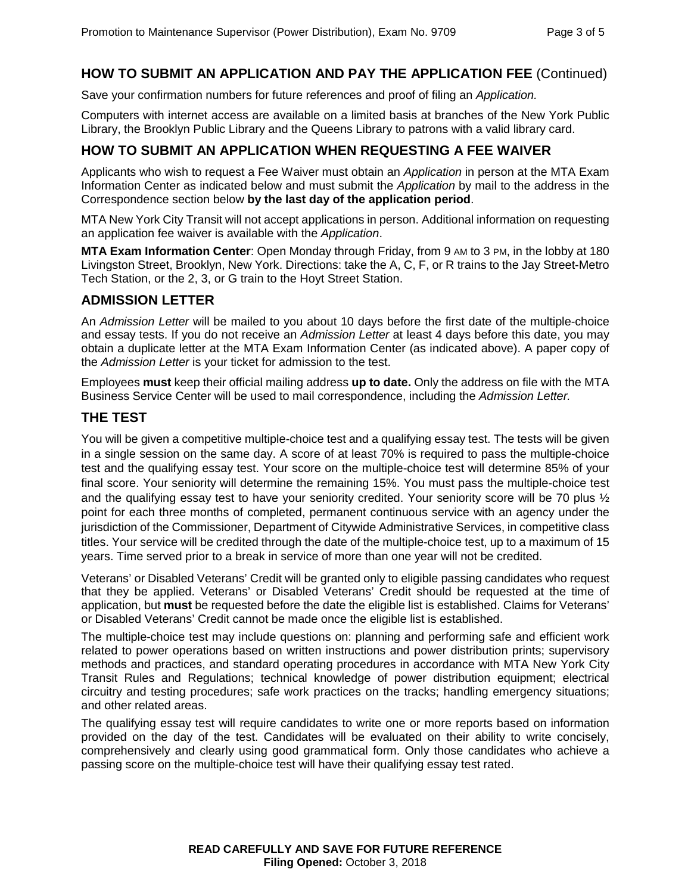# **HOW TO SUBMIT AN APPLICATION AND PAY THE APPLICATION FEE** (Continued)

Save your confirmation numbers for future references and proof of filing an *Application.*

Computers with internet access are available on a limited basis at branches of the New York Public Library, the Brooklyn Public Library and the Queens Library to patrons with a valid library card.

#### **HOW TO SUBMIT AN APPLICATION WHEN REQUESTING A FEE WAIVER**

Applicants who wish to request a Fee Waiver must obtain an *Application* in person at the MTA Exam Information Center as indicated below and must submit the *Application* by mail to the address in the Correspondence section below **by the last day of the application period**.

MTA New York City Transit will not accept applications in person. Additional information on requesting an application fee waiver is available with the *Application*.

**MTA Exam Information Center**: Open Monday through Friday, from 9 AM to 3 PM, in the lobby at 180 Livingston Street, Brooklyn, New York. Directions: take the A, C, F, or R trains to the Jay Street-Metro Tech Station, or the 2, 3, or G train to the Hoyt Street Station.

#### **ADMISSION LETTER**

An *Admission Letter* will be mailed to you about 10 days before the first date of the multiple-choice and essay tests. If you do not receive an *Admission Letter* at least 4 days before this date, you may obtain a duplicate letter at the MTA Exam Information Center (as indicated above). A paper copy of the *Admission Letter* is your ticket for admission to the test.

Employees **must** keep their official mailing address **up to date.** Only the address on file with the MTA Business Service Center will be used to mail correspondence, including the *Admission Letter.*

#### **THE TEST**

You will be given a competitive multiple-choice test and a qualifying essay test. The tests will be given in a single session on the same day. A score of at least 70% is required to pass the multiple-choice test and the qualifying essay test. Your score on the multiple-choice test will determine 85% of your final score. Your seniority will determine the remaining 15%. You must pass the multiple-choice test and the qualifying essay test to have your seniority credited. Your seniority score will be 70 plus ½ point for each three months of completed, permanent continuous service with an agency under the jurisdiction of the Commissioner, Department of Citywide Administrative Services, in competitive class titles. Your service will be credited through the date of the multiple-choice test, up to a maximum of 15 years. Time served prior to a break in service of more than one year will not be credited.

Veterans' or Disabled Veterans' Credit will be granted only to eligible passing candidates who request that they be applied. Veterans' or Disabled Veterans' Credit should be requested at the time of application, but **must** be requested before the date the eligible list is established. Claims for Veterans' or Disabled Veterans' Credit cannot be made once the eligible list is established.

The multiple-choice test may include questions on: planning and performing safe and efficient work related to power operations based on written instructions and power distribution prints; supervisory methods and practices, and standard operating procedures in accordance with MTA New York City Transit Rules and Regulations; technical knowledge of power distribution equipment; electrical circuitry and testing procedures; safe work practices on the tracks; handling emergency situations; and other related areas.

The qualifying essay test will require candidates to write one or more reports based on information provided on the day of the test. Candidates will be evaluated on their ability to write concisely, comprehensively and clearly using good grammatical form. Only those candidates who achieve a passing score on the multiple-choice test will have their qualifying essay test rated.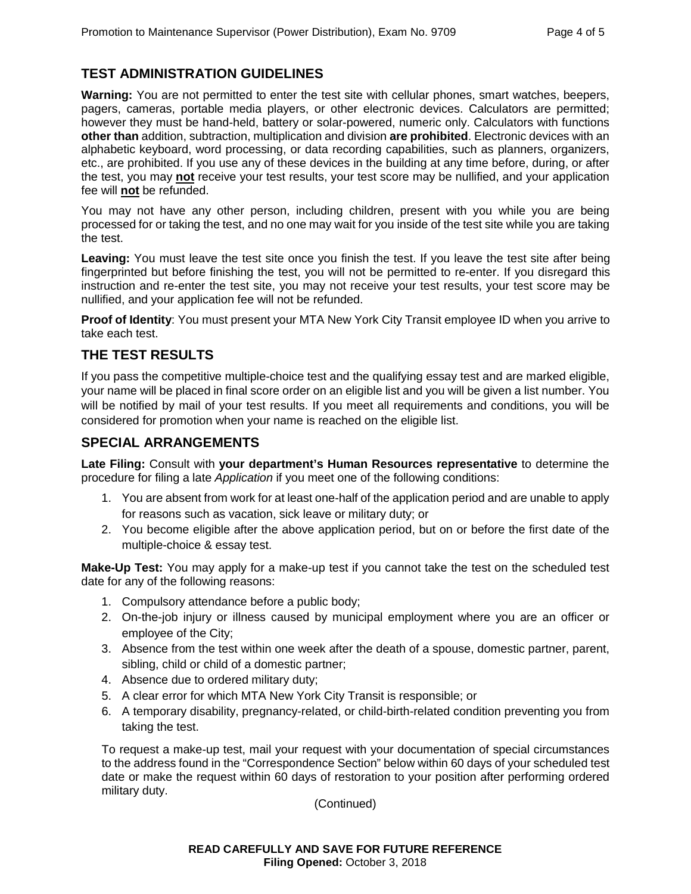# **TEST ADMINISTRATION GUIDELINES**

**Warning:** You are not permitted to enter the test site with cellular phones, smart watches, beepers, pagers, cameras, portable media players, or other electronic devices. Calculators are permitted; however they must be hand-held, battery or solar-powered, numeric only. Calculators with functions **other than** addition, subtraction, multiplication and division **are prohibited**. Electronic devices with an alphabetic keyboard, word processing, or data recording capabilities, such as planners, organizers, etc., are prohibited. If you use any of these devices in the building at any time before, during, or after the test, you may **not** receive your test results, your test score may be nullified, and your application fee will **not** be refunded.

You may not have any other person, including children, present with you while you are being processed for or taking the test, and no one may wait for you inside of the test site while you are taking the test.

**Leaving:** You must leave the test site once you finish the test. If you leave the test site after being fingerprinted but before finishing the test, you will not be permitted to re-enter. If you disregard this instruction and re-enter the test site, you may not receive your test results, your test score may be nullified, and your application fee will not be refunded.

**Proof of Identity**: You must present your MTA New York City Transit employee ID when you arrive to take each test.

#### **THE TEST RESULTS**

If you pass the competitive multiple-choice test and the qualifying essay test and are marked eligible, your name will be placed in final score order on an eligible list and you will be given a list number. You will be notified by mail of your test results. If you meet all requirements and conditions, you will be considered for promotion when your name is reached on the eligible list.

#### **SPECIAL ARRANGEMENTS**

**Late Filing:** Consult with **your department's Human Resources representative** to determine the procedure for filing a late *Application* if you meet one of the following conditions:

- 1. You are absent from work for at least one-half of the application period and are unable to apply for reasons such as vacation, sick leave or military duty; or
- 2. You become eligible after the above application period, but on or before the first date of the multiple-choice & essay test.

**Make-Up Test:** You may apply for a make-up test if you cannot take the test on the scheduled test date for any of the following reasons:

- 1. Compulsory attendance before a public body;
- 2. On-the-job injury or illness caused by municipal employment where you are an officer or employee of the City;
- 3. Absence from the test within one week after the death of a spouse, domestic partner, parent, sibling, child or child of a domestic partner;
- 4. Absence due to ordered military duty;
- 5. A clear error for which MTA New York City Transit is responsible; or
- 6. A temporary disability, pregnancy-related, or child-birth-related condition preventing you from taking the test.

To request a make-up test, mail your request with your documentation of special circumstances to the address found in the "Correspondence Section" below within 60 days of your scheduled test date or make the request within 60 days of restoration to your position after performing ordered military duty.

(Continued)